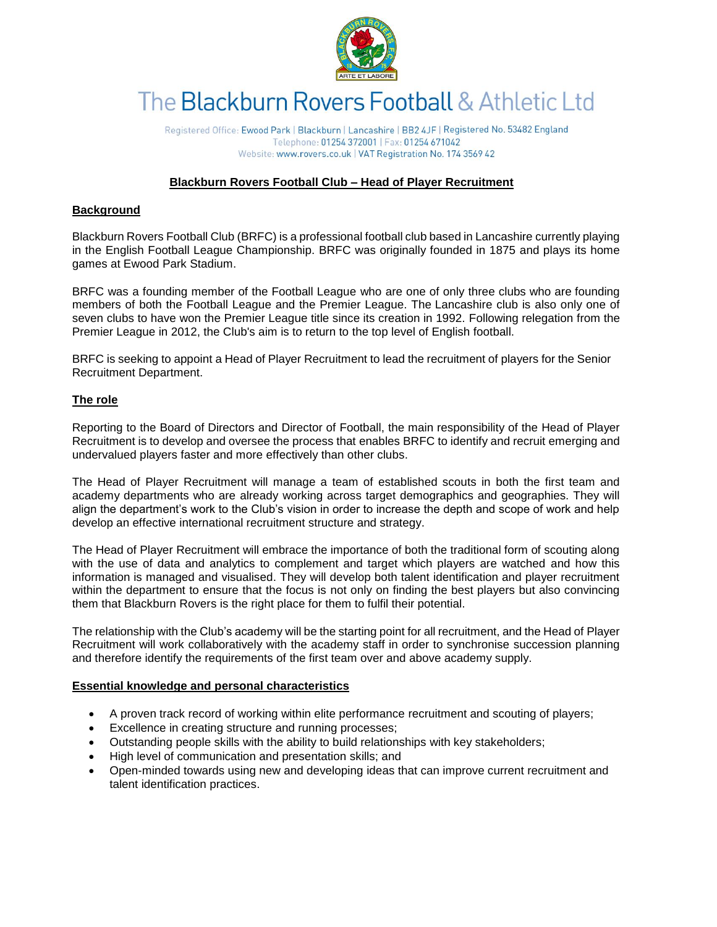

# The Blackburn Rovers Football & Athletic Ltd

Registered Office: Ewood Park | Blackburn | Lancashire | BB2 4JF | Registered No. 53482 England Telephone: 01254 372001 | Fax: 01254 671042 Website: www.rovers.co.uk | VAT Registration No. 174 3569 42

# **Blackburn Rovers Football Club – Head of Player Recruitment**

# **Background**

Blackburn Rovers Football Club (BRFC) is a professional football club based in Lancashire currently playing in the English Football League Championship. BRFC was originally founded in 1875 and plays its home games at Ewood Park Stadium.

BRFC was a founding member of the Football League who are one of only three clubs who are founding members of both the Football League and the Premier League. The Lancashire club is also only one of seven clubs to have won the Premier League title since its creation in 1992. Following relegation from the Premier League in 2012, the Club's aim is to return to the top level of English football.

BRFC is seeking to appoint a Head of Player Recruitment to lead the recruitment of players for the Senior Recruitment Department.

## **The role**

Reporting to the Board of Directors and Director of Football, the main responsibility of the Head of Player Recruitment is to develop and oversee the process that enables BRFC to identify and recruit emerging and undervalued players faster and more effectively than other clubs.

The Head of Player Recruitment will manage a team of established scouts in both the first team and academy departments who are already working across target demographics and geographies. They will align the department's work to the Club's vision in order to increase the depth and scope of work and help develop an effective international recruitment structure and strategy.

The Head of Player Recruitment will embrace the importance of both the traditional form of scouting along with the use of data and analytics to complement and target which players are watched and how this information is managed and visualised. They will develop both talent identification and player recruitment within the department to ensure that the focus is not only on finding the best players but also convincing them that Blackburn Rovers is the right place for them to fulfil their potential.

The relationship with the Club's academy will be the starting point for all recruitment, and the Head of Player Recruitment will work collaboratively with the academy staff in order to synchronise succession planning and therefore identify the requirements of the first team over and above academy supply.

## **Essential knowledge and personal characteristics**

- A proven track record of working within elite performance recruitment and scouting of players;
- Excellence in creating structure and running processes;
- Outstanding people skills with the ability to build relationships with key stakeholders;
- High level of communication and presentation skills; and
- Open-minded towards using new and developing ideas that can improve current recruitment and talent identification practices.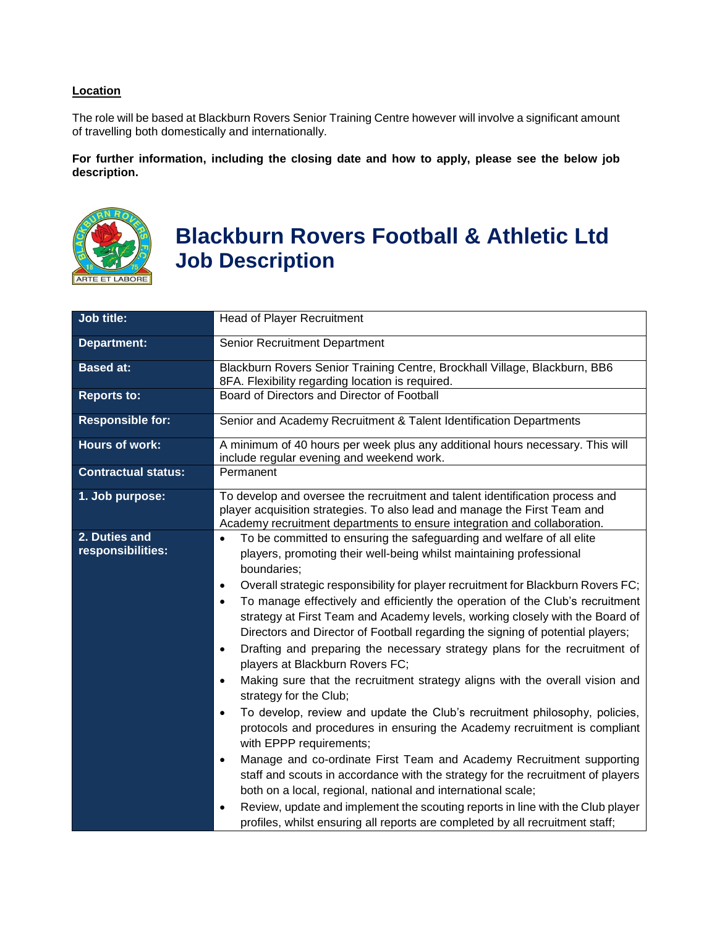# **Location**

The role will be based at Blackburn Rovers Senior Training Centre however will involve a significant amount of travelling both domestically and internationally.

**For further information, including the closing date and how to apply, please see the below job description.**



# **Blackburn Rovers Football & Athletic Ltd Job Description**

| <b>Job title:</b>                  | <b>Head of Player Recruitment</b>                                                                                                                                                                                                                                                                                                                                                                                                                                                                                                                                                                                                                                                                                                                                                                                                                                                                                                                                                                                                                                                                                                                                                                                                                                                                                                                                                                                 |
|------------------------------------|-------------------------------------------------------------------------------------------------------------------------------------------------------------------------------------------------------------------------------------------------------------------------------------------------------------------------------------------------------------------------------------------------------------------------------------------------------------------------------------------------------------------------------------------------------------------------------------------------------------------------------------------------------------------------------------------------------------------------------------------------------------------------------------------------------------------------------------------------------------------------------------------------------------------------------------------------------------------------------------------------------------------------------------------------------------------------------------------------------------------------------------------------------------------------------------------------------------------------------------------------------------------------------------------------------------------------------------------------------------------------------------------------------------------|
| <b>Department:</b>                 | Senior Recruitment Department                                                                                                                                                                                                                                                                                                                                                                                                                                                                                                                                                                                                                                                                                                                                                                                                                                                                                                                                                                                                                                                                                                                                                                                                                                                                                                                                                                                     |
| <b>Based at:</b>                   | Blackburn Rovers Senior Training Centre, Brockhall Village, Blackburn, BB6<br>8FA. Flexibility regarding location is required.                                                                                                                                                                                                                                                                                                                                                                                                                                                                                                                                                                                                                                                                                                                                                                                                                                                                                                                                                                                                                                                                                                                                                                                                                                                                                    |
| <b>Reports to:</b>                 | Board of Directors and Director of Football                                                                                                                                                                                                                                                                                                                                                                                                                                                                                                                                                                                                                                                                                                                                                                                                                                                                                                                                                                                                                                                                                                                                                                                                                                                                                                                                                                       |
| <b>Responsible for:</b>            | Senior and Academy Recruitment & Talent Identification Departments                                                                                                                                                                                                                                                                                                                                                                                                                                                                                                                                                                                                                                                                                                                                                                                                                                                                                                                                                                                                                                                                                                                                                                                                                                                                                                                                                |
| <b>Hours of work:</b>              | A minimum of 40 hours per week plus any additional hours necessary. This will<br>include regular evening and weekend work.                                                                                                                                                                                                                                                                                                                                                                                                                                                                                                                                                                                                                                                                                                                                                                                                                                                                                                                                                                                                                                                                                                                                                                                                                                                                                        |
| <b>Contractual status:</b>         | Permanent                                                                                                                                                                                                                                                                                                                                                                                                                                                                                                                                                                                                                                                                                                                                                                                                                                                                                                                                                                                                                                                                                                                                                                                                                                                                                                                                                                                                         |
| 1. Job purpose:                    | To develop and oversee the recruitment and talent identification process and<br>player acquisition strategies. To also lead and manage the First Team and<br>Academy recruitment departments to ensure integration and collaboration.                                                                                                                                                                                                                                                                                                                                                                                                                                                                                                                                                                                                                                                                                                                                                                                                                                                                                                                                                                                                                                                                                                                                                                             |
| 2. Duties and<br>responsibilities: | To be committed to ensuring the safeguarding and welfare of all elite<br>$\bullet$<br>players, promoting their well-being whilst maintaining professional<br>boundaries;<br>Overall strategic responsibility for player recruitment for Blackburn Rovers FC;<br>$\bullet$<br>To manage effectively and efficiently the operation of the Club's recruitment<br>$\bullet$<br>strategy at First Team and Academy levels, working closely with the Board of<br>Directors and Director of Football regarding the signing of potential players;<br>Drafting and preparing the necessary strategy plans for the recruitment of<br>$\bullet$<br>players at Blackburn Rovers FC;<br>Making sure that the recruitment strategy aligns with the overall vision and<br>$\bullet$<br>strategy for the Club;<br>To develop, review and update the Club's recruitment philosophy, policies,<br>$\bullet$<br>protocols and procedures in ensuring the Academy recruitment is compliant<br>with EPPP requirements;<br>Manage and co-ordinate First Team and Academy Recruitment supporting<br>$\bullet$<br>staff and scouts in accordance with the strategy for the recruitment of players<br>both on a local, regional, national and international scale;<br>Review, update and implement the scouting reports in line with the Club player<br>٠<br>profiles, whilst ensuring all reports are completed by all recruitment staff; |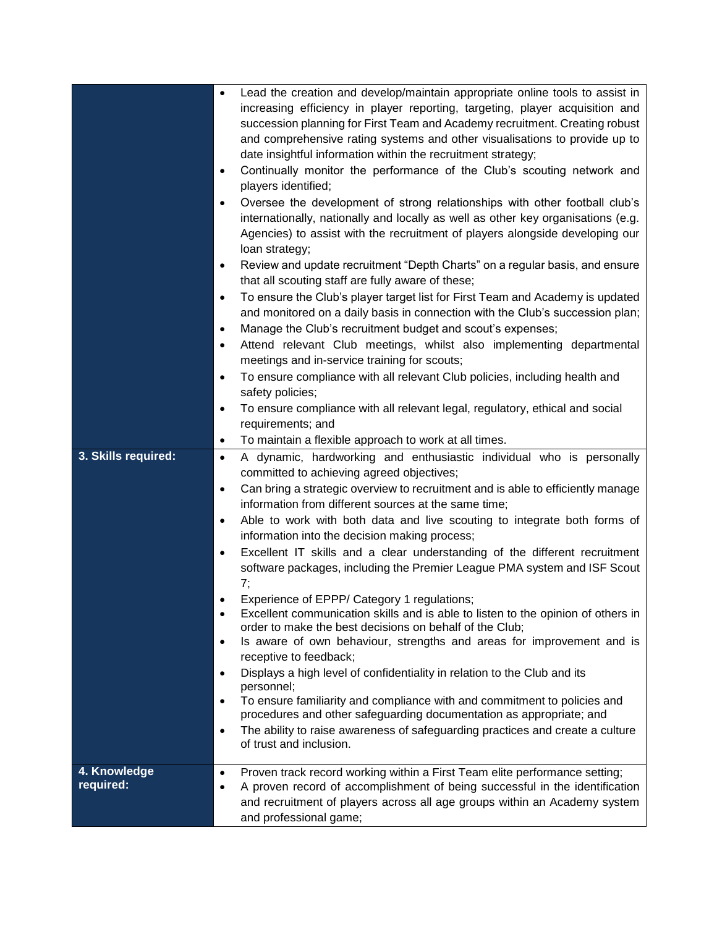| 3. Skills required:       | Lead the creation and develop/maintain appropriate online tools to assist in<br>$\bullet$<br>increasing efficiency in player reporting, targeting, player acquisition and<br>succession planning for First Team and Academy recruitment. Creating robust<br>and comprehensive rating systems and other visualisations to provide up to<br>date insightful information within the recruitment strategy;<br>Continually monitor the performance of the Club's scouting network and<br>٠<br>players identified;<br>Oversee the development of strong relationships with other football club's<br>$\bullet$<br>internationally, nationally and locally as well as other key organisations (e.g.<br>Agencies) to assist with the recruitment of players alongside developing our<br>loan strategy;<br>Review and update recruitment "Depth Charts" on a regular basis, and ensure<br>$\bullet$<br>that all scouting staff are fully aware of these;<br>To ensure the Club's player target list for First Team and Academy is updated<br>٠<br>and monitored on a daily basis in connection with the Club's succession plan;<br>Manage the Club's recruitment budget and scout's expenses;<br>٠<br>Attend relevant Club meetings, whilst also implementing departmental<br>$\bullet$<br>meetings and in-service training for scouts;<br>To ensure compliance with all relevant Club policies, including health and<br>$\bullet$<br>safety policies;<br>To ensure compliance with all relevant legal, regulatory, ethical and social<br>$\bullet$<br>requirements; and<br>To maintain a flexible approach to work at all times.<br>$\bullet$<br>A dynamic, hardworking and enthusiastic individual who is personally<br>$\bullet$<br>committed to achieving agreed objectives;<br>Can bring a strategic overview to recruitment and is able to efficiently manage<br>$\bullet$<br>information from different sources at the same time;<br>Able to work with both data and live scouting to integrate both forms of<br>٠<br>information into the decision making process;<br>Excellent IT skills and a clear understanding of the different recruitment<br>$\bullet$<br>software packages, including the Premier League PMA system and ISF Scout<br>7;<br>Experience of EPPP/ Category 1 regulations;<br>$\bullet$<br>Excellent communication skills and is able to listen to the opinion of others in<br>$\bullet$<br>order to make the best decisions on behalf of the Club;<br>Is aware of own behaviour, strengths and areas for improvement and is<br>$\bullet$ |
|---------------------------|-------------------------------------------------------------------------------------------------------------------------------------------------------------------------------------------------------------------------------------------------------------------------------------------------------------------------------------------------------------------------------------------------------------------------------------------------------------------------------------------------------------------------------------------------------------------------------------------------------------------------------------------------------------------------------------------------------------------------------------------------------------------------------------------------------------------------------------------------------------------------------------------------------------------------------------------------------------------------------------------------------------------------------------------------------------------------------------------------------------------------------------------------------------------------------------------------------------------------------------------------------------------------------------------------------------------------------------------------------------------------------------------------------------------------------------------------------------------------------------------------------------------------------------------------------------------------------------------------------------------------------------------------------------------------------------------------------------------------------------------------------------------------------------------------------------------------------------------------------------------------------------------------------------------------------------------------------------------------------------------------------------------------------------------------------------------------------------------------------------------------------------------------------------------------------------------------------------------------------------------------------------------------------------------------------------------------------------------------------------------------------------------------------------------------------------------------------------------------------------------------------------------------------------------------------------|
|                           | receptive to feedback;                                                                                                                                                                                                                                                                                                                                                                                                                                                                                                                                                                                                                                                                                                                                                                                                                                                                                                                                                                                                                                                                                                                                                                                                                                                                                                                                                                                                                                                                                                                                                                                                                                                                                                                                                                                                                                                                                                                                                                                                                                                                                                                                                                                                                                                                                                                                                                                                                                                                                                                                      |
|                           | Displays a high level of confidentiality in relation to the Club and its<br>$\bullet$<br>personnel;<br>To ensure familiarity and compliance with and commitment to policies and<br>$\bullet$                                                                                                                                                                                                                                                                                                                                                                                                                                                                                                                                                                                                                                                                                                                                                                                                                                                                                                                                                                                                                                                                                                                                                                                                                                                                                                                                                                                                                                                                                                                                                                                                                                                                                                                                                                                                                                                                                                                                                                                                                                                                                                                                                                                                                                                                                                                                                                |
|                           | procedures and other safeguarding documentation as appropriate; and<br>The ability to raise awareness of safeguarding practices and create a culture<br>$\bullet$<br>of trust and inclusion.                                                                                                                                                                                                                                                                                                                                                                                                                                                                                                                                                                                                                                                                                                                                                                                                                                                                                                                                                                                                                                                                                                                                                                                                                                                                                                                                                                                                                                                                                                                                                                                                                                                                                                                                                                                                                                                                                                                                                                                                                                                                                                                                                                                                                                                                                                                                                                |
| 4. Knowledge<br>required: | Proven track record working within a First Team elite performance setting;<br>$\bullet$<br>A proven record of accomplishment of being successful in the identification<br>$\bullet$<br>and recruitment of players across all age groups within an Academy system<br>and professional game;                                                                                                                                                                                                                                                                                                                                                                                                                                                                                                                                                                                                                                                                                                                                                                                                                                                                                                                                                                                                                                                                                                                                                                                                                                                                                                                                                                                                                                                                                                                                                                                                                                                                                                                                                                                                                                                                                                                                                                                                                                                                                                                                                                                                                                                                  |